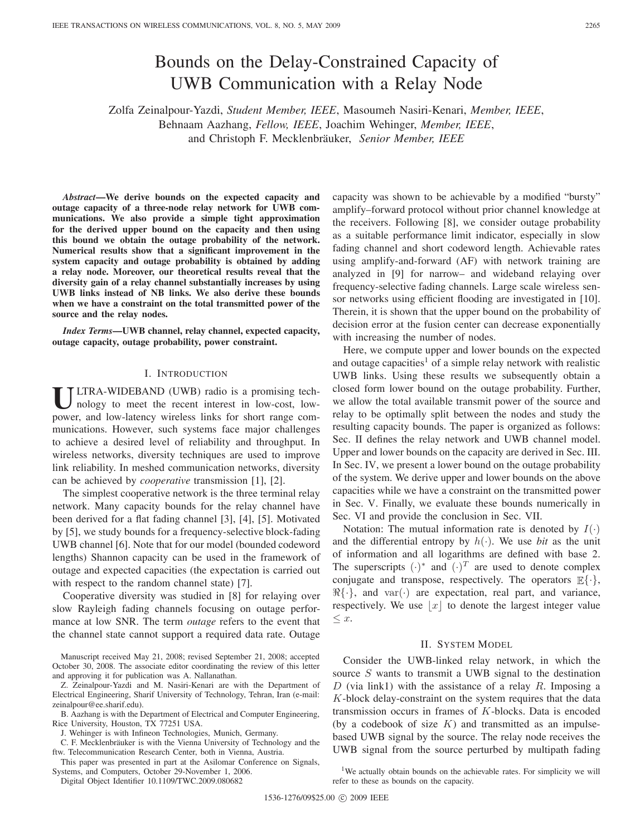# Bounds on the Delay-Constrained Capacity of UWB Communication with a Relay Node

Zolfa Zeinalpour-Yazdi, *Student Member, IEEE*, Masoumeh Nasiri-Kenari, *Member, IEEE*, Behnaam Aazhang, *Fellow, IEEE*, Joachim Wehinger, *Member, IEEE*, and Christoph F. Mecklenbräuker, *Senior Member, IEEE* 

*Abstract***—We derive bounds on the expected capacity and outage capacity of a three-node relay network for UWB communications. We also provide a simple tight approximation for the derived upper bound on the capacity and then using this bound we obtain the outage probability of the network. Numerical results show that a significant improvement in the system capacity and outage probability is obtained by adding a relay node. Moreover, our theoretical results reveal that the diversity gain of a relay channel substantially increases by using UWB links instead of NB links. We also derive these bounds when we have a constraint on the total transmitted power of the source and the relay nodes.**

*Index Terms***—UWB channel, relay channel, expected capacity, outage capacity, outage probability, power constraint.**

# I. INTRODUCTION

**U**LTRA-WIDEBAND (UWB) radio is a promising technology to meet the recent interest in low-cost, lowpower, and low-latency wireless links for short range communications. However, such systems face major challenges to achieve a desired level of reliability and throughput. In wireless networks, diversity techniques are used to improve link reliability. In meshed communication networks, diversity can be achieved by *cooperative* transmission [1], [2].

The simplest cooperative network is the three terminal relay network. Many capacity bounds for the relay channel have been derived for a flat fading channel [3], [4], [5]. Motivated by [5], we study bounds for a frequency-selective block-fading UWB channel [6]. Note that for our model (bounded codeword lengths) Shannon capacity can be used in the framework of outage and expected capacities (the expectation is carried out with respect to the random channel state) [7].

Cooperative diversity was studied in [8] for relaying over slow Rayleigh fading channels focusing on outage performance at low SNR. The term *outage* refers to the event that the channel state cannot support a required data rate. Outage

Manuscript received May 21, 2008; revised September 21, 2008; accepted October 30, 2008. The associate editor coordinating the review of this letter and approving it for publication was A. Nallanathan.

Z. Zeinalpour-Yazdi and M. Nasiri-Kenari are with the Department of Electrical Engineering, Sharif University of Technology, Tehran, Iran (e-mail: zeinalpour@ee.sharif.edu).

B. Aazhang is with the Department of Electrical and Computer Engineering, Rice University, Houston, TX 77251 USA.

J. Wehinger is with Infineon Technologies, Munich, Germany.

C. F. Mecklenbräuker is with the Vienna University of Technology and the ftw. Telecommunication Research Center, both in Vienna, Austria.

This paper was presented in part at the Asilomar Conference on Signals, Systems, and Computers, October 29-November 1, 2006.

Digital Object Identifier 10.1109/TWC.2009.080682

capacity was shown to be achievable by a modified "bursty" amplify–forward protocol without prior channel knowledge at the receivers. Following [8], we consider outage probability as a suitable performance limit indicator, especially in slow fading channel and short codeword length. Achievable rates using amplify-and-forward (AF) with network training are analyzed in [9] for narrow– and wideband relaying over frequency-selective fading channels. Large scale wireless sensor networks using efficient flooding are investigated in [10]. Therein, it is shown that the upper bound on the probability of decision error at the fusion center can decrease exponentially with increasing the number of nodes.

Here, we compute upper and lower bounds on the expected and outage capacities<sup>1</sup> of a simple relay network with realistic UWB links. Using these results we subsequently obtain a closed form lower bound on the outage probability. Further, we allow the total available transmit power of the source and relay to be optimally split between the nodes and study the resulting capacity bounds. The paper is organized as follows: Sec. II defines the relay network and UWB channel model. Upper and lower bounds on the capacity are derived in Sec. III. In Sec. IV, we present a lower bound on the outage probability of the system. We derive upper and lower bounds on the above capacities while we have a constraint on the transmitted power in Sec. V. Finally, we evaluate these bounds numerically in Sec. VI and provide the conclusion in Sec. VII.

Notation: The mutual information rate is denoted by  $I(\cdot)$ and the differential entropy by  $h(\cdot)$ . We use *bit* as the unit of information and all logarithms are defined with base 2. The superscripts  $(\cdot)^*$  and  $(\cdot)^T$  are used to denote complex conjugate and transpose, respectively. The operators  $\mathbb{E}\{\cdot\},\$  $\Re{\{\cdot\}}$ , and var $(\cdot)$  are expectation, real part, and variance, respectively. We use  $|x|$  to denote the largest integer value  $\leq x$ .

## II. SYSTEM MODEL

Consider the UWB-linked relay network, in which the source S wants to transmit a UWB signal to the destination D (via link1) with the assistance of a relay R. Imposing a  $K$ -block delay-constraint on the system requires that the data transmission occurs in frames of K-blocks. Data is encoded (by a codebook of size  $K$ ) and transmitted as an impulsebased UWB signal by the source. The relay node receives the UWB signal from the source perturbed by multipath fading

<sup>1</sup>We actually obtain bounds on the achievable rates. For simplicity we will refer to these as bounds on the capacity.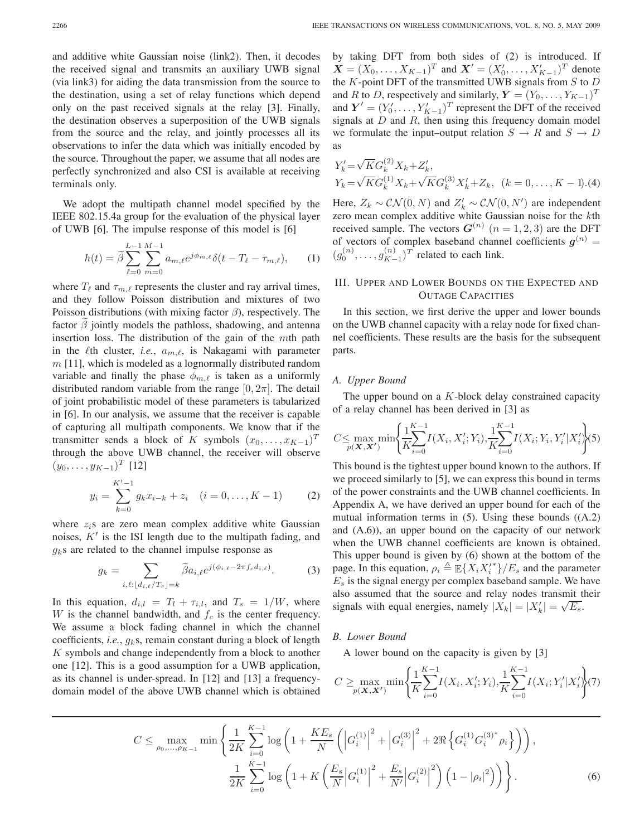and additive white Gaussian noise (link2). Then, it decodes the received signal and transmits an auxiliary UWB signal (via link3) for aiding the data transmission from the source to the destination, using a set of relay functions which depend only on the past received signals at the relay [3]. Finally, the destination observes a superposition of the UWB signals from the source and the relay, and jointly processes all its observations to infer the data which was initially encoded by the source. Throughout the paper, we assume that all nodes are perfectly synchronized and also CSI is available at receiving terminals only.

We adopt the multipath channel model specified by the IEEE 802.15.4a group for the evaluation of the physical layer of UWB [6]. The impulse response of this model is [6]

$$
h(t) = \tilde{\beta} \sum_{\ell=0}^{L-1} \sum_{m=0}^{M-1} a_{m,\ell} e^{j\phi_{m,\ell}} \delta(t - T_{\ell} - \tau_{m,\ell}), \qquad (1)
$$

where  $T_{\ell}$  and  $\tau_{m,\ell}$  represents the cluster and ray arrival times, and they follow Poisson distribution and mixtures of two Poisson distributions (with mixing factor  $\beta$ ), respectively. The factor  $\beta$  jointly models the pathloss, shadowing, and antenna insertion loss. The distribution of the gain of the mth path in the  $\ell$ th cluster, *i.e.*,  $a_{m,\ell}$ , is Nakagami with parameter  $m$  [11], which is modeled as a lognormally distributed random variable and finally the phase  $\phi_{m,\ell}$  is taken as a uniformly distributed random variable from the range  $[0, 2\pi]$ . The detail of joint probabilistic model of these parameters is tabularized in [6]. In our analysis, we assume that the receiver is capable of capturing all multipath components. We know that if the transmitter sends a block of K symbols  $(x_0, \ldots, x_{K-1})^T$ through the above UWB channel, the receiver will observe  $(y_0,\ldots,y_{K-1})^T$  [12]

$$
y_i = \sum_{k=0}^{K'-1} g_k x_{i-k} + z_i \quad (i = 0, \dots, K-1)
$$
 (2)

where  $z_i$ s are zero mean complex additive white Gaussian noises,  $K'$  is the ISI length due to the multipath fading, and  $g_k$ s are related to the channel impulse response as

$$
g_k = \sum_{i,\ell: \lfloor d_{i,\ell}/T_s \rfloor = k} \widetilde{\beta} a_{i,\ell} e^{j(\phi_{i,\ell} - 2\pi f_c d_{i,\ell})}.
$$
 (3)

In this equation,  $d_{i,l} = T_l + \tau_{i,l}$ , and  $T_s = 1/W$ , where W is the channel bandwidth, and  $f_c$  is the center frequency. We assume a block fading channel in which the channel coefficients, *i.e.*,  $g_k$ s, remain constant during a block of length K symbols and change independently from a block to another one [12]. This is a good assumption for a UWB application, as its channel is under-spread. In [12] and [13] a frequencydomain model of the above UWB channel which is obtained

by taking DFT from both sides of (2) is introduced. If  $\mathbf{X} = (X_0, \dots, X_{K-1})^T$  and  $\mathbf{X}' = (X'_0, \dots, X'_{K-1})^T$  denote<br>the *K*-noint DET of the transmitted UWB signals from *S* to *D* the  $K$ -point DFT of the transmitted UWB signals from  $S$  to  $D$ and R to D, respectively and similarly,  $\mathbf{Y} = (Y_0, \dots, Y_{K-1})^T$ and  $Y' = (Y_0', \ldots, Y_{K-1}')^T$  represent the DFT of the received<br>signals at D and B then using this frequency domain model signals at  $D$  and  $R$ , then using this frequency domain model we formulate the input–output relation  $S \to R$  and  $S \to D$ as

$$
Y'_{k} = \sqrt{K} G_{k}^{(2)} X_{k} + Z'_{k},
$$
  
\n
$$
Y_{k} = \sqrt{K} G_{k}^{(1)} X_{k} + \sqrt{K} G_{k}^{(3)} X'_{k} + Z_{k}, \quad (k = 0, ..., K - 1). (4)
$$

Here,  $Z_k \sim \mathcal{CN}(0, N)$  and  $Z'_k \sim \mathcal{CN}(0, N')$  are independent zero mean complex additive white Gaussian noise for the kth received sample. The vectors  $G^{(n)}$  ( $n = 1, 2, 3$ ) are the DFT of vectors of complex baseband channel coefficients  $g^{(n)}$  =  $(g_0^{(n)}, \ldots, g_{K-1}^{(n)})^T$  related to each link.

# III. UPPER AND LOWER BOUNDS ON THE EXPECTED AND OUTAGE CAPACITIES

In this section, we first derive the upper and lower bounds on the UWB channel capacity with a relay node for fixed channel coefficients. These results are the basis for the subsequent parts.

#### *A. Upper Bound*

The upper bound on a  $K$ -block delay constrained capacity of a relay channel has been derived in [3] as

$$
C \le \max_{p(\mathbf{X}, \mathbf{X}')} \min \left\{ \frac{1}{K} \sum_{i=0}^{K-1} I(X_i, X_i'; Y_i), \frac{1}{K} \sum_{i=0}^{K-1} I(X_i; Y_i, Y_i'|X_i') \right\} (5)
$$

This bound is the tightest upper bound known to the authors. If we proceed similarly to [5], we can express this bound in terms of the power constraints and the UWB channel coefficients. In Appendix A, we have derived an upper bound for each of the mutual information terms in (5). Using these bounds ((A.2) and (A.6)), an upper bound on the capacity of our network when the UWB channel coefficients are known is obtained. This upper bound is given by (6) shown at the bottom of the page. In this equation,  $\rho_i \triangleq \mathbb{E}\{X_i X_i'^*\}/E_s$  and the parameter  $E<sub>s</sub>$  is the signal energy per complex baseband sample. We have also assumed that the source and relay nodes transmit their signals with equal energies, namely  $|X_k| = |X'_k| = \sqrt{E_s}$ .

#### *B. Lower Bound*

A lower bound on the capacity is given by [3]

$$
C \ge \max_{p(\mathbf{X}, \mathbf{X}')} \min \left\{ \frac{1}{K} \sum_{i=0}^{K-1} I(X_i, X_i'; Y_i), \frac{1}{K} \sum_{i=0}^{K-1} I(X_i; Y_i'| X_i') \right\} (7)
$$

$$
C \leq \max_{\rho_0, ..., \rho_{K-1}} \min \left\{ \frac{1}{2K} \sum_{i=0}^{K-1} \log \left( 1 + \frac{KE_s}{N} \left( \left| G_i^{(1)} \right|^2 + \left| G_i^{(3)} \right|^2 + 2\Re \left\{ G_i^{(1)} G_i^{(3)^*} \rho_i \right\} \right) \right),
$$
  

$$
\frac{1}{2K} \sum_{i=0}^{K-1} \log \left( 1 + K \left( \frac{E_s}{N} \left| G_i^{(1)} \right|^2 + \frac{E_s}{N'} \left| G_i^{(2)} \right|^2 \right) \left( 1 - \left| \rho_i \right|^2 \right) \right) \right\}.
$$
 (6)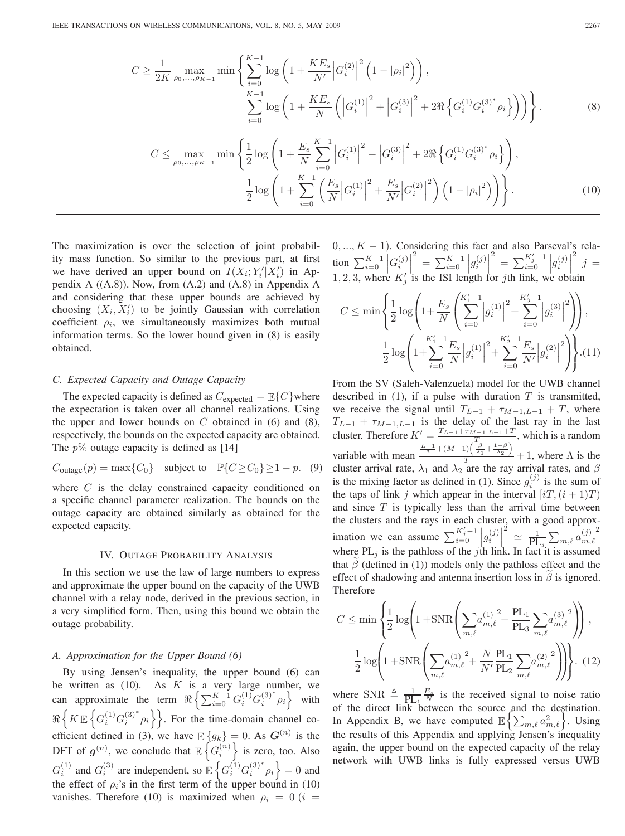$$
C \ge \frac{1}{2K} \max_{\rho_0, \dots, \rho_{K-1}} \min \left\{ \sum_{i=0}^{K-1} \log \left( 1 + \frac{KE_s}{N'} \Big| G_i^{(2)} \Big|^2 \left( 1 - |\rho_i|^2 \right) \right), \right\}
$$
  

$$
\sum_{i=0}^{K-1} \log \left( 1 + \frac{KE_s}{N} \left( \Big| G_i^{(1)} \Big|^2 + \Big| G_i^{(3)} \Big|^2 + 2 \Re \left\{ G_i^{(1)} G_i^{(3)^*} \rho_i \right\} \right) \right) \right\}.
$$
 (8)

$$
C \leq \max_{\rho_0, \dots, \rho_{K-1}} \min \left\{ \frac{1}{2} \log \left( 1 + \frac{E_s}{N} \sum_{i=0}^{K-1} \left| G_i^{(1)} \right|^2 + \left| G_i^{(3)} \right|^2 + 2 \Re \left\{ G_i^{(1)} G_i^{(3)^*} \rho_i \right\} \right), \frac{1}{2} \log \left( 1 + \sum_{i=0}^{K-1} \left( \frac{E_s}{N} \left| G_i^{(1)} \right|^2 + \frac{E_s}{N'} \left| G_i^{(2)} \right|^2 \right) \left( 1 - \left| \rho_i \right|^2 \right) \right) \right\}.
$$
 (10)

The maximization is over the selection of joint probability mass function. So similar to the previous part, at first we have derived an upper bound on  $I(X_i; Y_i'|X_i')$  in Appendix A  $((A.8))$ . Now, from  $(A.2)$  and  $(A.8)$  in Appendix A and considering that these upper bounds are achieved by choosing  $(X_i, X'_i)$  to be jointly Gaussian with correlation coefficient  $\rho_i$ , we simultaneously maximizes both mutual information terms. So the lower bound given in (8) is easily obtained.

## *C. Expected Capacity and Outage Capacity*

The expected capacity is defined as  $C_{\text{expected}} = \mathbb{E}\{C\}$  where the expectation is taken over all channel realizations. Using the upper and lower bounds on  $C$  obtained in  $(6)$  and  $(8)$ , respectively, the bounds on the expected capacity are obtained. The  $p\%$  outage capacity is defined as [14]

$$
C_{\text{outage}}(p) = \max\{C_0\} \quad \text{subject to} \quad \mathbb{P}\{C \ge C_0\} \ge 1 - p. \quad (9)
$$

where  $C$  is the delay constrained capacity conditioned on a specific channel parameter realization. The bounds on the outage capacity are obtained similarly as obtained for the expected capacity.

#### IV. OUTAGE PROBABILITY ANALYSIS

In this section we use the law of large numbers to express and approximate the upper bound on the capacity of the UWB channel with a relay node, derived in the previous section, in a very simplified form. Then, using this bound we obtain the outage probability.

#### *A. Approximation for the Upper Bound (6)*

By using Jensen's inequality, the upper bound (6) can be written as  $(10)$ . As K is a very large number, we can approximate the term  $\Re\left\{\sum_{i=0}^{K-1} G_i^{(1)} G_i^{(3)^*} \rho_i\right\}$  with  $\Re\left\{K\mathbb{E}\left\{G_i^{(1)}G_i^{(3)^*}\rho_i\right\}\right\}$ . For the time-domain channel coefficient defined in (3), we have  $\mathbb{E}\{g_k\} = 0$ . As  $G^{(n)}$  is the DFT of  $g^{(n)}$ , we conclude that  $\mathbb{E}\left\{G_i^{(n)}\right\}$  is zero, too. Also  $G_i^{(1)}$  and  $G_i^{(3)}$  are independent, so  $\mathbb{E}\left\{G_i^{(1)}G_i^{(3)^*}p_i\right\}=0$  and the effect of  $\rho_i$ 's in the first term of the upper bound in (10) vanishes. Therefore (10) is maximized when  $\rho_i = 0$  (i =

 $0, ..., K - 1$ ). Considering this fact and also Parseval's relation  $\sum_{i=0}^{K-1}$  $\left. G_i^{(j)} \right|$  $\sum_{i=0}^{2} = \sum_{i=0}^{K-1} \left| g_i^{(j)} \right|$  $\sum_{i=0}^{2} = \sum_{i=0}^{K'_{j}-1} \left| g_{i}^{(j)} \right|$  $\begin{array}{c} 2 \\ j \end{array}$ 1, 2, 3, where  $K_i'$  is the ISI length for jth link, we obtain

$$
C \le \min\left\{\frac{1}{2}\log\left(1+\frac{E_s}{N}\left(\sum_{i=0}^{K_1'-1}\left|g_i^{(1)}\right|^2+\sum_{i=0}^{K_3'-1}\left|g_i^{(3)}\right|^2\right)\right),\right\}
$$

$$
\frac{1}{2}\log\left(1+\sum_{i=0}^{K_1'-1}\frac{E_s}{N}\left|g_i^{(1)}\right|^2+\sum_{i=0}^{K_2'-1}\frac{E_s}{N'}\left|g_i^{(2)}\right|^2\right)\right\}.\tag{11}
$$

From the SV (Saleh-Valenzuela) model for the UWB channel described in  $(1)$ , if a pulse with duration  $T$  is transmitted, we receive the signal until  $T_{L-1} + \tau_{M-1,L-1} + T$ , where  $T_{L-1} + \tau_{M-1,L-1}$  is the delay of the last ray in the last cluster. Therefore  $K' = \frac{T_{L-1} + \tau_{M-1,L-1} + T}{T}$ , which is a random variable with mean  $\frac{\frac{L-1}{\Lambda} + (M-1)\left(\frac{\beta}{\lambda_1} + \frac{1-\beta}{\lambda_2}\right)}{T} + 1$ , where  $\Lambda$  is the cluster arrival rate,  $\lambda_1$  and  $\lambda_2$  are the ray arrival rates, and  $\beta$ is the mixing factor as defined in (1). Since  $g_i^{(j)}$  is the sum of the taps of link j which appear in the interval  $[iT,(i+1)T]$ and since  $T$  is typically less than the arrival time between the clusters and the rays in each cluster, with a good approximation we can assume  $\sum_{i=0}^{K'_j-1} |g_i^{(j)}|$  $\sum_{i=1}^{2} \sum_{j=1}^{n} \sum_{j=1}^{n} a_{m,\ell}^{(j)}$ 2 where  $PL_j$  is the pathloss of the jth link. In fact it is assumed that  $\beta$  (defined in (1)) models only the pathloss effect and the effect of shadowing and antenna insertion loss in  $\beta$  is ignored. Therefore

$$
C \le \min\left\{\frac{1}{2}\log\left(1+\text{SNR}\left(\sum_{m,\ell}a_{m,\ell}^{(1)}\right)^2 + \frac{\text{PL}_1}{\text{PL}_3}\sum_{m,\ell}a_{m,\ell}^{(3)}\right)^2\right),\newline \frac{1}{2}\log\left(1+\text{SNR}\left(\sum_{m,\ell}a_{m,\ell}^{(1)}\right)^2 + \frac{N}{N'}\frac{\text{PL}_1}{\text{PL}_2}\sum_{m,\ell}a_{m,\ell}^{(2)}\right)^2\right\}.
$$
 (12)

where SNR  $\triangleq \frac{1}{PL_1} \frac{E_s}{N}$  is the received signal to noise ratio of the direct link between the source and the destination. In Appendix B, we have computed  $\mathbb{E} \left\{ \sum_{m,\ell} a_{m,\ell}^2 \right\}$ . Using the results of this Appendix and applying Jensen's inequality again, the upper bound on the expected capacity of the relay network with UWB links is fully expressed versus UWB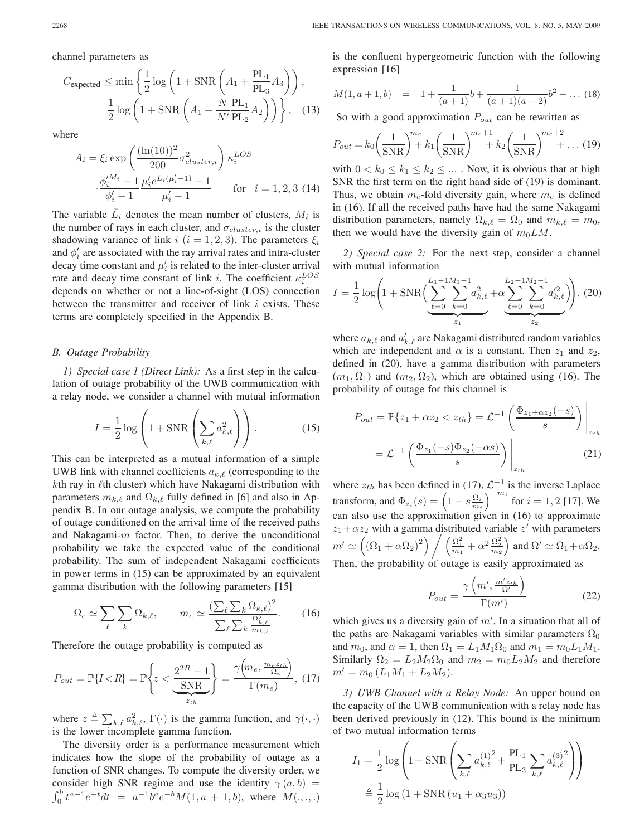channel parameters as

$$
C_{\text{expected}} \le \min\left\{\frac{1}{2}\log\left(1 + \text{SNR}\left(A_1 + \frac{PL_1}{PL_3}A_3\right)\right),\right\}
$$

$$
\frac{1}{2}\log\left(1 + \text{SNR}\left(A_1 + \frac{N}{N'}\frac{PL_1}{PL_2}A_2\right)\right)\right\},\quad(13)
$$

where

$$
A_{i} = \xi_{i} \exp\left(\frac{(\ln(10))^{2}}{200} \sigma_{cluster,i}^{2}\right) \kappa_{i}^{LOS}
$$

$$
\frac{\phi_{i}^{M_{i}} - 1}{\phi_{i}^{\prime} - 1} \frac{\mu_{i}^{\prime} e^{\bar{L}_{i}(\mu_{i}^{\prime} - 1)} - 1}{\mu_{i}^{\prime} - 1} \quad \text{for} \quad i = 1, 2, 3 \tag{14}
$$

The variable  $\overline{L}_i$  denotes the mean number of clusters,  $M_i$  is the number of rays in each cluster, and  $\sigma_{cluster,i}$  is the cluster shadowing variance of link  $i$  ( $i = 1, 2, 3$ ). The parameters  $\xi_i$ and  $\phi_i'$  are associated with the ray arrival rates and intra-cluster decay time constant and  $\mu'_i$  is related to the inter-cluster arrival rate and decay time constant of link i. The coefficient  $\kappa_i^{LOS}$ depends on whether or not a line-of-sight (LOS) connection between the transmitter and receiver of link  $i$  exists. These terms are completely specified in the Appendix B.

#### *B. Outage Probability*

*1) Special case 1 (Direct Link):* As a first step in the calculation of outage probability of the UWB communication with a relay node, we consider a channel with mutual information

$$
I = \frac{1}{2} \log \left( 1 + \text{SNR} \left( \sum_{k,\ell} a_{k,\ell}^2 \right) \right). \tag{15}
$$

This can be interpreted as a mutual information of a simple UWB link with channel coefficients  $a_{k,\ell}$  (corresponding to the  $k$ th ray in  $\ell$ th cluster) which have Nakagami distribution with parameters  $m_{k,\ell}$  and  $\Omega_{k,\ell}$  fully defined in [6] and also in Appendix B. In our outage analysis, we compute the probability of outage conditioned on the arrival time of the received paths and Nakagami- $m$  factor. Then, to derive the unconditional probability we take the expected value of the conditional probability. The sum of independent Nakagami coefficients in power terms in (15) can be approximated by an equivalent gamma distribution with the following parameters [15]

$$
\Omega_e \simeq \sum_{\ell} \sum_k \Omega_{k,\ell}, \qquad m_e \simeq \frac{\left(\sum_{\ell} \sum_k \Omega_{k,\ell}\right)^2}{\sum_{\ell} \sum_k \frac{\Omega_{k,\ell}^2}{m_{k,\ell}}}.
$$
 (16)

Therefore the outage probability is computed as

$$
P_{out} = \mathbb{P}\{I < R\} = \mathbb{P}\left\{z < \frac{2^{2R} - 1}{\text{SNR}}\right\} = \frac{\gamma\left(m_e, \frac{m_e z_{th}}{\Omega_e}\right)}{\Gamma(m_e)},\tag{17}
$$

where  $z \triangleq \sum_{k,\ell} a_{k,\ell}^2$ ,  $\Gamma(\cdot)$  is the gamma function, and  $\gamma(\cdot, \cdot)$ is the lower incomplete gamma function.

The diversity order is a performance measurement which indicates how the slope of the probability of outage as a function of SNR changes. To compute the diversity order, we consider high SNR regime and use the identity  $\gamma(a, b)$  =  $\int_0^b t^{a-1}e^{-t}dt = a^{-1}b^ae^{-b}M(1, a + 1, b)$ , where  $M(., ., .)$ 

is the confluent hypergeometric function with the following expression [16]

$$
M(1, a+1, b) = 1 + \frac{1}{(a+1)}b + \frac{1}{(a+1)(a+2)}b^{2} + \dots (18)
$$

So with a good approximation  $P_{out}$  can be rewritten as

$$
P_{out} = k_0 \left(\frac{1}{\text{SNR}}\right)^{m_e} k_1 \left(\frac{1}{\text{SNR}}\right)^{m_e+1} + k_2 \left(\frac{1}{\text{SNR}}\right)^{m_e+2} + \dots (19)
$$

with  $0 < k_0 \leq k_1 \leq k_2 \leq \dots$ . Now, it is obvious that at high SNR the first term on the right hand side of (19) is dominant. Thus, we obtain  $m_e$ -fold diversity gain, where  $m_e$  is defined in (16). If all the received paths have had the same Nakagami distribution parameters, namely  $\Omega_{k,\ell} = \Omega_0$  and  $m_{k,\ell} = m_0$ , then we would have the diversity gain of  $m_0LM$ .

*2) Special case 2:* For the next step, consider a channel with mutual information

$$
I = \frac{1}{2} \log \left( 1 + \text{SNR} \left( \sum_{\ell=0}^{L_1 - 1 M_1 - 1} \sum_{k=0}^{2} a_{k,\ell}^2 + \alpha \sum_{\ell=0}^{L_2 - 1 M_2 - 1} \sum_{k=0}^{a_{k,\ell}^2} a_{k,\ell}^{\prime 2} \right) \right), (20)
$$

where  $a_{k,\ell}$  and  $a'_{k,\ell}$  are Nakagami distributed random variables which are independent and  $\alpha$  is a constant. Then  $z_1$  and  $z_2$ , defined in (20), have a gamma distribution with parameters  $(m_1, \Omega_1)$  and  $(m_2, \Omega_2)$ , which are obtained using (16). The probability of outage for this channel is

$$
P_{out} = \mathbb{P}\{z_1 + \alpha z_2 < z_{th}\} = \mathcal{L}^{-1} \left( \frac{\Phi_{z_1 + \alpha z_2}(-s)}{s} \right) \Big|_{z_{th}}
$$
\n
$$
= \mathcal{L}^{-1} \left( \frac{\Phi_{z_1}(-s)\Phi_{z_2}(-\alpha s)}{s} \right) \Big|_{z_{th}} \tag{21}
$$

where  $z_{th}$  has been defined in (17),  $\mathcal{L}^{-1}$  is the inverse Laplace transform, and  $\Phi_{z_i}(s) = \left(1 - s \frac{\Omega_i}{m_i}\right)^{-m_i}$  for  $i = 1, 2$  [17]. We can also use the approximation given in (16) to approximate  $z_1 + \alpha z_2$  with a gamma distributed variable z' with parameters  $m' \simeq \left(\left(\Omega_1 + \alpha \Omega_2\right)^2\right) \bigg/ \left(\frac{\Omega_1^2}{m_1} + \alpha^2 \frac{\Omega_2^2}{m_2}\right)$  and  $\Omega' \simeq \Omega_1 + \alpha \Omega_2$ . Then, the probability of outage is easily approximated as

$$
P_{out} = \frac{\gamma \left( m', \frac{m' z_{th}}{\Omega'} \right)}{\Gamma(m')} \tag{22}
$$

which gives us a diversity gain of  $m'$ . In a situation that all of the paths are Nakagami variables with similar parameters  $\Omega_0$ and  $m_0$ , and  $\alpha = 1$ , then  $\Omega_1 = L_1 M_1 \Omega_0$  and  $m_1 = m_0 L_1 M_1$ . Similarly  $\Omega_2 = L_2 M_2 \Omega_0$  and  $m_2 = m_0 L_2 M_2$  and therefore  $m' = m_0 (L_1M_1 + L_2M_2).$ 

*3) UWB Channel with a Relay Node:* An upper bound on the capacity of the UWB communication with a relay node has been derived previously in (12). This bound is the minimum of two mutual information terms

$$
I_1 = \frac{1}{2} \log \left( 1 + \text{SNR} \left( \sum_{k,\ell} a_{k,\ell}^{(1)^2} + \frac{\text{PL}_1}{\text{PL}_3} \sum_{k,\ell} a_{k,\ell}^{(3)^2} \right) \right)
$$
  

$$
\triangleq \frac{1}{2} \log \left( 1 + \text{SNR} \left( u_1 + \alpha_3 u_3 \right) \right)
$$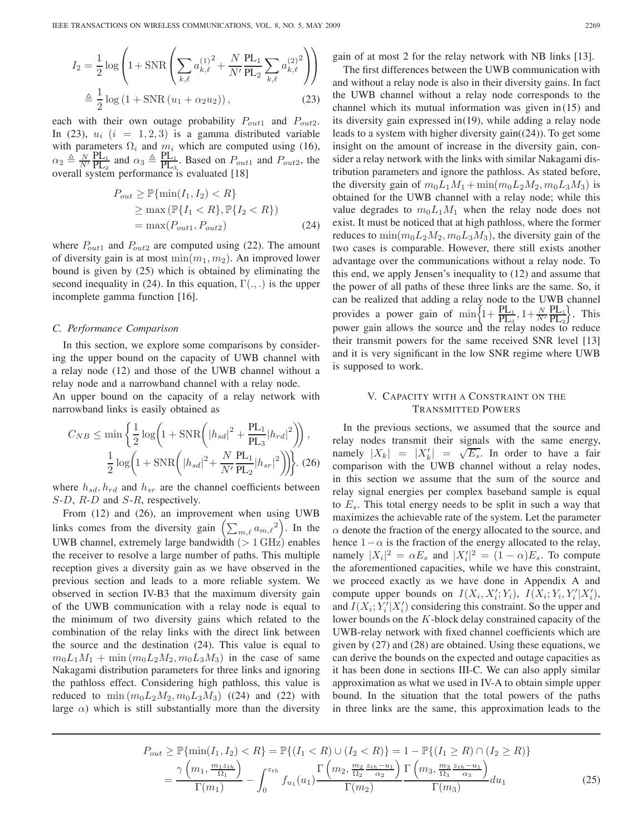$$
I_2 = \frac{1}{2} \log \left( 1 + \text{SNR} \left( \sum_{k,\ell} a_{k,\ell}^{(1)}^2 + \frac{N}{N'} \frac{\text{PL}_1}{\text{PL}_2} \sum_{k,\ell} a_{k,\ell}^{(2)}^2 \right) \right)
$$
  

$$
\triangleq \frac{1}{2} \log \left( 1 + \text{SNR} \left( u_1 + \alpha_2 u_2 \right) \right), \tag{23}
$$

each with their own outage probability  $P_{out1}$  and  $P_{out2}$ . In (23),  $u_i$  ( $i = 1, 2, 3$ ) is a gamma distributed variable with parameters  $\Omega_i$  and  $m_i$  which are computed using (16),  $\alpha_2 \triangleq \frac{N}{N'} \frac{PL_1}{PL_2}$  $\frac{\text{PL}_1}{\text{PL}_2}$  and  $\alpha_3 \triangleq \frac{\text{PL}_1}{\text{PL}_3}$ . Based on  $P_{out1}$  and  $P_{out2}$ , the overall system performance is evaluated [18]

$$
P_{out} \geq \mathbb{P}\{\min(I_1, I_2) < R\}
$$
\n
$$
\geq \max\left(\mathbb{P}\{I_1 < R\}, \mathbb{P}\{I_2 < R\}\right)
$$
\n
$$
= \max(P_{out1}, P_{out2})\tag{24}
$$

where  $P_{out1}$  and  $P_{out2}$  are computed using (22). The amount of diversity gain is at most  $\min(m_1, m_2)$ . An improved lower bound is given by (25) which is obtained by eliminating the second inequality in (24). In this equation,  $\Gamma(.,.)$  is the upper incomplete gamma function [16].

#### *C. Performance Comparison*

In this section, we explore some comparisons by considering the upper bound on the capacity of UWB channel with a relay node (12) and those of the UWB channel without a relay node and a narrowband channel with a relay node. An upper bound on the capacity of a relay network with narrowband links is easily obtained as

$$
C_{NB} \le \min\left\{\frac{1}{2}\log\left(1 + \text{SNR}\left(|h_{sd}|^2 + \frac{\text{PL}_{1}}{\text{PL}_{3}}|h_{rd}|^2\right)\right),\right.\right.
$$

$$
\frac{1}{2}\log\left(1 + \text{SNR}\left(|h_{sd}|^2 + \frac{N}{N'}\frac{\text{PL}_{1}}{\text{PL}_{2}}|h_{sr}|^2\right)\right).
$$
(26)

where  $h_{sd}$ ,  $h_{rd}$  and  $h_{sr}$  are the channel coefficients between S-D, R-D and S-R, respectively.

From (12) and (26), an improvement when using UWB links comes from the diversity gain  $\left(\sum_{m,\ell} a_{m,\ell}^2\right)$ . In the UWB channel, extremely large bandwidth  $(> 1 \text{ GHz})$  enables the receiver to resolve a large number of paths. This multiple reception gives a diversity gain as we have observed in the previous section and leads to a more reliable system. We observed in section IV-B3 that the maximum diversity gain of the UWB communication with a relay node is equal to the minimum of two diversity gains which related to the combination of the relay links with the direct link between the source and the destination (24). This value is equal to  $m_0L_1M_1 + \min(m_0L_2M_2, m_0L_3M_3)$  in the case of same Nakagami distribution parameters for three links and ignoring the pathloss effect. Considering high pathloss, this value is reduced to  $\min (m_0 L_2 M_2, m_0 L_3 M_3)$  ((24) and (22) with large  $\alpha$ ) which is still substantially more than the diversity

gain of at most 2 for the relay network with NB links [13].

The first differences between the UWB communication with and without a relay node is also in their diversity gains. In fact the UWB channel without a relay node corresponds to the channel which its mutual information was given in (15) and its diversity gain expressed in(19), while adding a relay node leads to a system with higher diversity gain((24)). To get some insight on the amount of increase in the diversity gain, consider a relay network with the links with similar Nakagami distribution parameters and ignore the pathloss. As stated before, the diversity gain of  $m_0L_1M_1 + \min(m_0L_2M_2, m_0L_3M_3)$  is obtained for the UWB channel with a relay node; while this value degrades to  $m_0L_1M_1$  when the relay node does not exist. It must be noticed that at high pathloss, where the former reduces to  $\min(m_0L_2M_2, m_0L_3M_3)$ , the diversity gain of the two cases is comparable. However, there still exists another advantage over the communications without a relay node. To this end, we apply Jensen's inequality to (12) and assume that the power of all paths of these three links are the same. So, it can be realized that adding a relay node to the UWB channel provides a power gain of  $\min\left\{1+\frac{PL_1}{PL_3}, 1+\frac{N}{N'}\frac{PL_1}{PL_2}\right\}$  $\frac{\rm PL_1}{\rm PL_2}$ . This power gain allows the source and the relay nodes to reduce their transmit powers for the same received SNR level [13] and it is very significant in the low SNR regime where UWB is supposed to work.

# V. CAPACITY WITH A CONSTRAINT ON THE TRANSMITTED POWERS

In the previous sections, we assumed that the source and relay nodes transmit their signals with the same energy, namely  $|X_k| = |X'_k| = \sqrt{E_s}$ . In order to have a fair comparison with the UWB channel without a relay nodes, in this section we assume that the sum of the source and relay signal energies per complex baseband sample is equal to  $E_s$ . This total energy needs to be split in such a way that maximizes the achievable rate of the system. Let the parameter  $\alpha$  denote the fraction of the energy allocated to the source, and hence  $1-\alpha$  is the fraction of the energy allocated to the relay, namely  $|X_i|^2 = \alpha E_s$  and  $|X_i'|^2 = (1 - \alpha)E_s$ . To compute the aforementioned capacities, while we have this constraint, we proceed exactly as we have done in Appendix A and compute upper bounds on  $I(X_i, X_i'; Y_i)$ ,  $I(X_i; Y_i, Y_i'|X_i')$ , and  $I(X_i; Y_i'|X_i')$  considering this constraint. So the upper and lower bounds on the K-block delay constrained capacity of the UWB-relay network with fixed channel coefficients which are given by (27) and (28) are obtained. Using these equations, we can derive the bounds on the expected and outage capacities as it has been done in sections III-C. We can also apply similar approximation as what we used in IV-A to obtain simple upper bound. In the situation that the total powers of the paths in three links are the same, this approximation leads to the

$$
P_{out} \ge \mathbb{P}\{\min(I_1, I_2) < R\} = \mathbb{P}\{(I_1 < R) \cup (I_2 < R)\} = 1 - \mathbb{P}\{(I_1 \ge R) \cap (I_2 \ge R)\}
$$
\n
$$
= \frac{\gamma\left(m_1, \frac{m_1 z_{th}}{\Omega_1}\right)}{\Gamma(m_1)} - \int_0^{z_{th}} f_{u_1}(u_1) \frac{\Gamma\left(m_2, \frac{m_2}{\Omega_2} \frac{z_{th} - u_1}{\Omega_2}\right)}{\Gamma(m_2)} \frac{\Gamma\left(m_3, \frac{m_3}{\Omega_3} \frac{z_{th} - u_1}{\Omega_3}\right)}{\Gamma(m_3)} du_1 \tag{25}
$$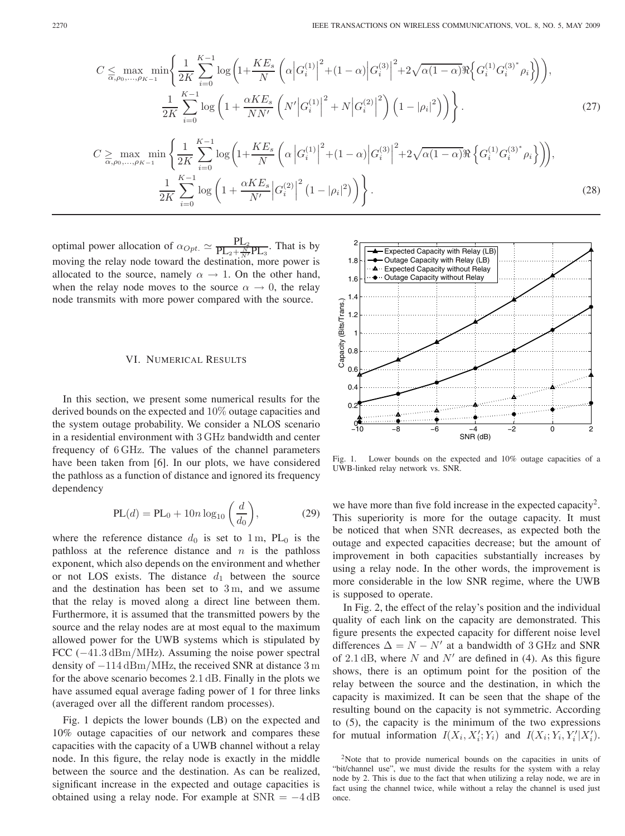$$
C \leq \max_{\alpha,\rho_0,\dots,\rho_{K-1}} \min \left\{ \frac{1}{2K} \sum_{i=0}^{K-1} \log \left( 1 + \frac{KE_s}{N} \left( \alpha \left| G_i^{(1)} \right|^2 + (1 - \alpha) \left| G_i^{(3)} \right|^2 + 2\sqrt{\alpha (1 - \alpha)} \Re \left\{ G_i^{(1)} G_i^{(3)^*} \rho_i \right\} \right) \right),
$$
  

$$
\frac{1}{2K} \sum_{i=0}^{K-1} \log \left( 1 + \frac{\alpha KE_s}{NN'} \left( N' \left| G_i^{(1)} \right|^2 + N \left| G_i^{(2)} \right|^2 \right) \left( 1 - |\rho_i|^2 \right) \right) \right\}.
$$
  

$$
C \geq \max_{\alpha,\rho_0,\dots,\rho_{K-1}} \min \left\{ \frac{1}{2K} \sum_{i=0}^{K-1} \log \left( 1 + \frac{KE_s}{N} \left( \alpha \left| G_i^{(1)} \right|^2 + (1 - \alpha) \left| G_i^{(3)} \right|^2 + 2\sqrt{\alpha (1 - \alpha)} \Re \left\{ G_i^{(1)} G_i^{(3)^*} \rho_i \right\} \right) \right),
$$
  
(27)

$$
\frac{1}{2K} \sum_{i=0}^{K-1} \log \left( 1 + \frac{\alpha KE_s}{N'} \left| G_i^{(2)} \right|^2 \left( 1 - |\rho_i|^2 \right) \right) \right).
$$
 (28)

optimal power allocation of  $\alpha_{Opt} \simeq \frac{PL_2}{PL_2 + \frac{N}{N'}PL_3}$ . That is by moving the relay node toward the destination, more power is allocated to the source, namely  $\alpha \rightarrow 1$ . On the other hand, when the relay node moves to the source  $\alpha \to 0$ , the relay node transmits with more power compared with the source.

# VI. NUMERICAL RESULTS

In this section, we present some numerical results for the derived bounds on the expected and 10% outage capacities and the system outage probability. We consider a NLOS scenario in a residential environment with 3 GHz bandwidth and center frequency of 6 GHz. The values of the channel parameters have been taken from [6]. In our plots, we have considered the pathloss as a function of distance and ignored its frequency dependency

$$
PL(d) = PL_0 + 10n \log_{10} \left(\frac{d}{d_0}\right),
$$
 (29)

where the reference distance  $d_0$  is set to 1 m, PL<sub>0</sub> is the pathloss at the reference distance and  $n$  is the pathloss exponent, which also depends on the environment and whether or not LOS exists. The distance  $d_1$  between the source and the destination has been set to  $3 \text{ m}$ , and we assume that the relay is moved along a direct line between them. Furthermore, it is assumed that the transmitted powers by the source and the relay nodes are at most equal to the maximum allowed power for the UWB systems which is stipulated by FCC (−41.3 dBm/MHz). Assuming the noise power spectral density of −114 dBm/MHz, the received SNR at distance 3 m for the above scenario becomes 2.1 dB. Finally in the plots we have assumed equal average fading power of 1 for three links (averaged over all the different random processes).

Fig. 1 depicts the lower bounds (LB) on the expected and 10% outage capacities of our network and compares these capacities with the capacity of a UWB channel without a relay node. In this figure, the relay node is exactly in the middle between the source and the destination. As can be realized, significant increase in the expected and outage capacities is obtained using a relay node. For example at  $SNR = -4$  dB



Fig. 1. Lower bounds on the expected and 10% outage capacities of a UWB-linked relay network vs. SNR.

we have more than five fold increase in the expected capacity<sup>2</sup>. This superiority is more for the outage capacity. It must be noticed that when SNR decreases, as expected both the outage and expected capacities decrease; but the amount of improvement in both capacities substantially increases by using a relay node. In the other words, the improvement is more considerable in the low SNR regime, where the UWB is supposed to operate.

In Fig. 2, the effect of the relay's position and the individual quality of each link on the capacity are demonstrated. This figure presents the expected capacity for different noise level differences  $\Delta = N - N'$  at a bandwidth of 3 GHz and SNR of 2.1 dB, where  $N$  and  $N'$  are defined in (4). As this figure shows, there is an optimum point for the position of the relay between the source and the destination, in which the capacity is maximized. It can be seen that the shape of the resulting bound on the capacity is not symmetric. According to (5), the capacity is the minimum of the two expressions for mutual information  $I(X_i, X_i'; Y_i)$  and  $I(X_i; Y_i, Y_i'|X_i')$ .

<sup>&</sup>lt;sup>2</sup>Note that to provide numerical bounds on the capacities in units of "bit/channel use", we must divide the results for the system with a relay node by 2. This is due to the fact that when utilizing a relay node, we are in fact using the channel twice, while without a relay the channel is used just once.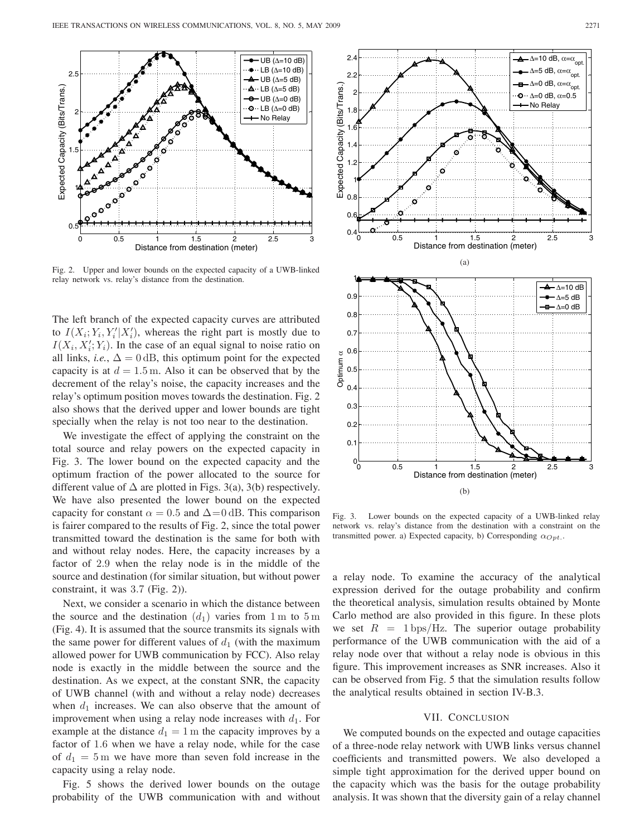

Fig. 2. Upper and lower bounds on the expected capacity of a UWB-linked relay network vs. relay's distance from the destination.

The left branch of the expected capacity curves are attributed to  $I(X_i; Y_i, Y_i' | X_i')$ , whereas the right part is mostly due to  $I(X_i, X'_i; Y_i)$ . In the case of an equal signal to noise ratio on all links, *i.e.*,  $\Delta = 0$  dB, this optimum point for the expected capacity is at  $d = 1.5$  m. Also it can be observed that by the decrement of the relay's noise, the capacity increases and the relay's optimum position moves towards the destination. Fig. 2 also shows that the derived upper and lower bounds are tight specially when the relay is not too near to the destination.

We investigate the effect of applying the constraint on the total source and relay powers on the expected capacity in Fig. 3. The lower bound on the expected capacity and the optimum fraction of the power allocated to the source for different value of  $\Delta$  are plotted in Figs. 3(a), 3(b) respectively. We have also presented the lower bound on the expected capacity for constant  $\alpha = 0.5$  and  $\Delta = 0$  dB. This comparison is fairer compared to the results of Fig. 2, since the total power transmitted toward the destination is the same for both with and without relay nodes. Here, the capacity increases by a factor of 2.9 when the relay node is in the middle of the source and destination (for similar situation, but without power constraint, it was 3.7 (Fig. 2)).

Next, we consider a scenario in which the distance between the source and the destination  $(d_1)$  varies from 1 m to 5 m (Fig. 4). It is assumed that the source transmits its signals with the same power for different values of  $d_1$  (with the maximum allowed power for UWB communication by FCC). Also relay node is exactly in the middle between the source and the destination. As we expect, at the constant SNR, the capacity of UWB channel (with and without a relay node) decreases when  $d_1$  increases. We can also observe that the amount of improvement when using a relay node increases with  $d_1$ . For example at the distance  $d_1 = 1$  m the capacity improves by a factor of 1.6 when we have a relay node, while for the case of  $d_1 = 5$  m we have more than seven fold increase in the capacity using a relay node.

Fig. 5 shows the derived lower bounds on the outage probability of the UWB communication with and without



Fig. 3. Lower bounds on the expected capacity of a UWB-linked relay network vs. relay's distance from the destination with a constraint on the transmitted power. a) Expected capacity, b) Corresponding  $\alpha_{Opt}$ .

a relay node. To examine the accuracy of the analytical expression derived for the outage probability and confirm the theoretical analysis, simulation results obtained by Monte Carlo method are also provided in this figure. In these plots we set  $R = 1 \text{bps/Hz}$ . The superior outage probability performance of the UWB communication with the aid of a relay node over that without a relay node is obvious in this figure. This improvement increases as SNR increases. Also it can be observed from Fig. 5 that the simulation results follow the analytical results obtained in section IV-B.3.

#### VII. CONCLUSION

We computed bounds on the expected and outage capacities of a three-node relay network with UWB links versus channel coefficients and transmitted powers. We also developed a simple tight approximation for the derived upper bound on the capacity which was the basis for the outage probability analysis. It was shown that the diversity gain of a relay channel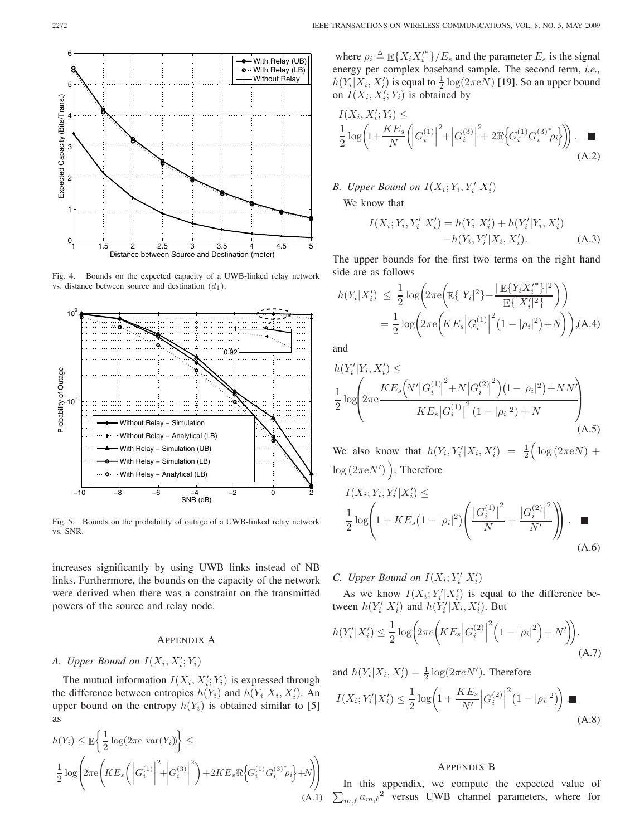

Fig. 4. Bounds on the expected capacity of a UWB-linked relay network vs. distance between source and destination  $(d_1)$ .



Fig. 5. Bounds on the probability of outage of a UWB-linked relay network vs. SNR.

increases significantly by using UWB links instead of NB links. Furthermore, the bounds on the capacity of the network were derived when there was a constraint on the transmitted powers of the source and relay node.

# APPENDIX A

# A. Upper Bound on  $I(X_i, X'_i; Y_i)$

The mutual information  $I(X_i, X_i'; Y_i)$  is expressed through the difference between entropies  $h(Y_i)$  and  $h(Y_i|X_i, X'_i)$ . An upper bound on the entropy  $h(Y_i)$  is obtained similar to [5] as

$$
h(Y_i) \leq \mathbb{E}\left\{\frac{1}{2}\log(2\pi e \text{ var}(Y_i))\right\} \leq
$$
  

$$
\frac{1}{2}\log\left(2\pi e \left(KE_s\left(\left|G_i^{(1)}\right|^2 + \left|G_i^{(3)}\right|^2\right) + 2KE_s \Re\left\{G_i^{(1)}G_i^{(3)}\gamma_i\right\} + N\right)\right)
$$
  
(A.1)

where  $\rho_i \triangleq \mathbb{E} \{ X_i X_i^* \} / E_s$  and the parameter  $E_s$  is the signal energy per complex baseband sample. The second term, *i.e.,*  $h(Y_i|X_i, X_i')$  is equal to  $\frac{1}{2} \log(2\pi eN)$  [19]. So an upper bound on  $I(X_i, X'_i; Y_i)$  is obtained by

$$
I(X_i, X'_i; Y_i) \le
$$
  
\n
$$
\frac{1}{2} \log \left( 1 + \frac{KE_s}{N} \left( |G_i^{(1)}|^2 + |G_i^{(3)}|^2 + 2 \Re \left\{ G_i^{(1)} G_i^{(3)}^* \rho_i \right\} \right) \right).
$$
 (A.2)

*B. Upper Bound on*  $I(X_i; Y_i, Y_i' | X_i')$ 

We know that

$$
I(X_i; Y_i, Y_i'|X_i') = h(Y_i|X_i') + h(Y_i'|Y_i, X_i')
$$
  
-h(Y\_i, Y\_i'|X\_i, X\_i'). (A.3)

The upper bounds for the first two terms on the right hand side are as follows

$$
h(Y_i|X'_i) \leq \frac{1}{2} \log \left( 2\pi e \left( \mathbb{E}\{|Y_i|^2\} - \frac{|\mathbb{E}\{Y_i X_i'^*\}|^2}{\mathbb{E}\{|X'_i|^2\}} \right) \right)
$$
  
= 
$$
\frac{1}{2} \log \left( 2\pi e \left( KE_s \left| G_i^{(1)} \right|^2 (1 - |\rho_i|^2) + N \right) \right), (A.4)
$$

and

$$
h(Y'_{i}|Y_{i}, X'_{i}) \le
$$
  
\n
$$
\frac{1}{2} \log \left( 2\pi e \frac{KE_{s} \left( N' |G_{i}^{(1)}|^{2} + N |G_{i}^{(2)}|^{2} \right) (1 - |\rho_{i}|^{2}) + NN'}{KE_{s} |G_{i}^{(1)}|^{2} (1 - |\rho_{i}|^{2}) + N} \right)
$$
  
\n(A.5)

We also know that  $h(Y_i, Y_i'|X_i, X_i') = \frac{1}{2} \Big( \log(2\pi eN) +$  $log(2\pi eN')$ ). Therefore

$$
I(X_i; Y_i, Y_i'|X_i') \le
$$
  
\n
$$
\frac{1}{2} \log \left( 1 + KE_s \left( 1 - |\rho_i|^2 \right) \left( \frac{|G_i^{(1)}|^2}{N} + \frac{|G_i^{(2)}|^2}{N'} \right) \right).
$$
 (A.6)

*C. Upper Bound on*  $I(X_i; Y_i'|X_i')$ 

As we know  $I(X_i; Y_i'|X_i')$  is equal to the difference between  $h(Y_i'|X_i')$  and  $h(Y_i'|X_i, X_i')$ . But

$$
h(Y'_i|X'_i) \le \frac{1}{2}\log\left(2\pi e\left(KE_s\left|G_i^{(2)}\right|^2\left(1-|\rho_i|^2\right)+N'\right)\right).
$$
\n(A.7)

and  $h(Y_i|X_i, X'_i) = \frac{1}{2} \log(2\pi eN')$ . Therefore

$$
I(X_i; Y_i'|X_i') \le \frac{1}{2} \log \left( 1 + \frac{KE_s}{N'} \left| G_i^{(2)} \right|^2 (1 - |\rho_i|^2) \right) . \blacksquare
$$
\n(A.8)

# APPENDIX B

 $\sum_{m,\ell} a_{m,\ell}^2$  versus UWB channel parameters, where for In this appendix, we compute the expected value of